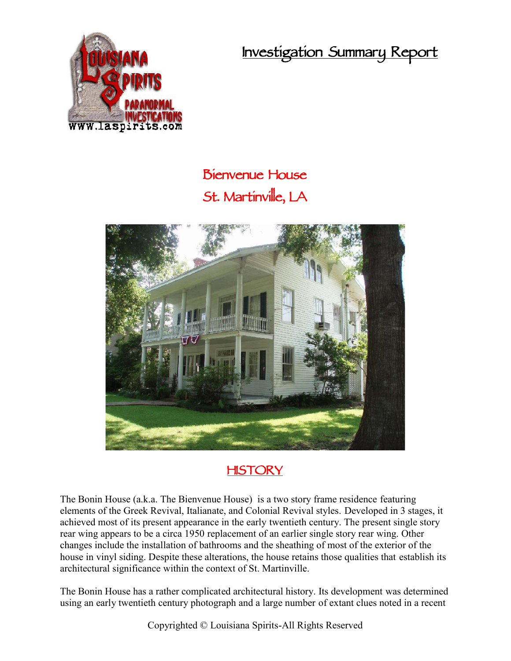**Investigation Summary Report**



## **Bienvenue House St. Martinville, LA**



## **HISTORY**

The Bonin House (a.k.a. The Bienvenue House) is a two story frame residence featuring elements of the Greek Revival, Italianate, and Colonial Revival styles. Developed in 3 stages, it achieved most of its present appearance in the early twentieth century. The present single story rear wing appears to be a circa 1950 replacement of an earlier single story rear wing. Other changes include the installation of bathrooms and the sheathing of most of the exterior of the house in vinyl siding. Despite these alterations, the house retains those qualities that establish its architectural significance within the context of St. Martinville.

The Bonin House has a rather complicated architectural history. Its development was determined using an early twentieth century photograph and a large number of extant clues noted in a recent

Copyrighted © Louisiana Spirits-All Rights Reserved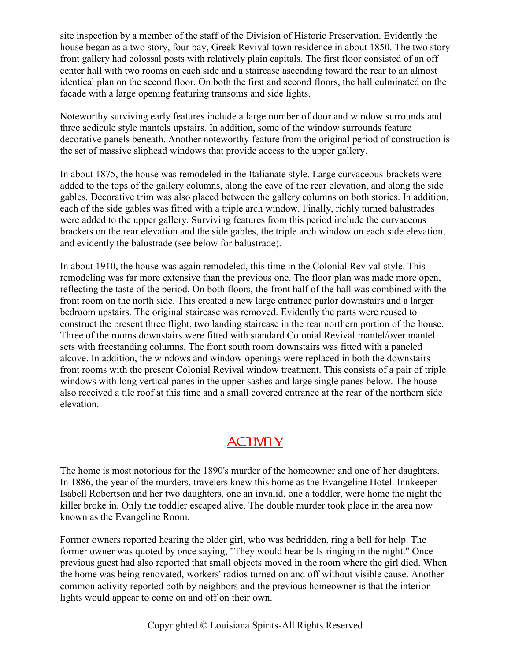site inspection by a member of the staff of the Division of Historic Preservation. Evidently the house began as a two story, four bay, Greek Revival town residence in about 1850. The two story front gallery had colossal posts with relatively plain capitals. The first floor consisted of an off center hall with two rooms on each side and a staircase ascending toward the rear to an almost identical plan on the second floor. On both the first and second floors, the hall culminated on the facade with a large opening featuring transoms and side lights.

Noteworthy surviving early features include a large number of door and window surrounds and three aedicule style mantels upstairs. In addition, some of the window surrounds feature decorative panels beneath. Another noteworthy feature from the original period of construction is the set of massive sliphead windows that provide access to the upper gallery.

In about 1875, the house was remodeled in the Italianate style. Large curvaceous brackets were added to the tops of the gallery columns, along the eave of the rear elevation, and along the side gables. Decorative trim was also placed between the gallery columns on both stories. In addition, each of the side gables was fitted with a triple arch window. Finally, richly turned balustrades were added to the upper gallery. Surviving features from this period include the curvaceous brackets on the rear elevation and the side gables, the triple arch window on each side elevation, and evidently the balustrade (see below for balustrade).

In about 1910, the house was again remodeled, this time in the Colonial Revival style. This remodeling was far more extensive than the previous one. The floor plan was made more open, reflecting the taste of the period. On both floors, the front half of the hall was combined with the front room on the north side. This created a new large entrance parlor downstairs and a larger bedroom upstairs. The original staircase was removed. Evidently the parts were reused to construct the present three flight, two landing staircase in the rear northern portion of the house. Three of the rooms downstairs were fitted with standard Colonial Revival mantel/over mantel sets with freestanding columns. The front south room downstairs was fitted with a paneled alcove. In addition, the windows and window openings were replaced in both the downstairs front rooms with the present Colonial Revival window treatment. This consists of a pair of triple windows with long vertical panes in the upper sashes and large single panes below. The house also received a tile roof at this time and a small covered entrance at the rear of the northern side elevation.

## **ACTIVITY**

The home is most notorious for the 1890's murder of the homeowner and one of her daughters. In 1886, the year of the murders, travelers knew this home as the Evangeline Hotel. Innkeeper Isabell Robertson and her two daughters, one an invalid, one a toddler, were home the night the killer broke in. Only the toddler escaped alive. The double murder took place in the area now known as the Evangeline Room.

Former owners reported hearing the older girl, who was bedridden, ring a bell for help. The former owner was quoted by once saying, "They would hear bells ringing in the night." Once previous guest had also reported that small objects moved in the room where the girl died. When the home was being renovated, workers' radios turned on and off without visible cause. Another common activity reported both by neighbors and the previous homeowner is that the interior lights would appear to come on and off on their own.